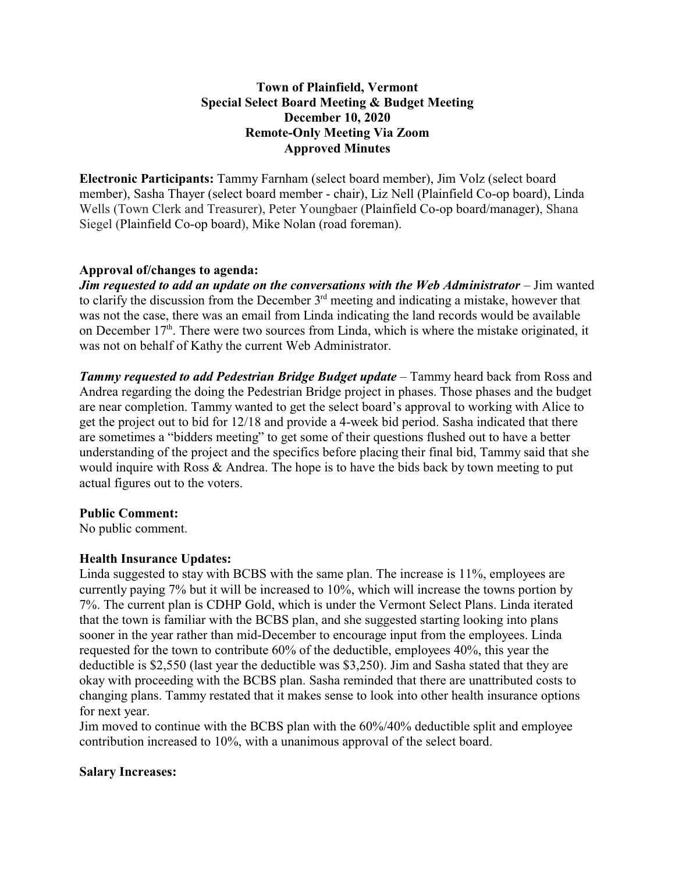# **Town of Plainfield, Vermont Special Select Board Meeting & Budget Meeting December 10, 2020 Remote-Only Meeting Via Zoom Approved Minutes**

**Electronic Participants:** Tammy Farnham (select board member), Jim Volz (select board member), Sasha Thayer (select board member - chair), Liz Nell (Plainfield Co-op board), Linda Wells (Town Clerk and Treasurer), Peter Youngbaer (Plainfield Co-op board/manager), Shana Siegel (Plainfield Co-op board), Mike Nolan (road foreman).

# **Approval of/changes to agenda:**

*Jim requested to add an update on the conversations with the Web Administrator* **– Jim wanted** to clarify the discussion from the December  $3<sup>rd</sup>$  meeting and indicating a mistake, however that was not the case, there was an email from Linda indicating the land records would be available on December  $17<sup>th</sup>$ . There were two sources from Linda, which is where the mistake originated, it was not on behalf of Kathy the current Web Administrator.

*Tammy requested to add Pedestrian Bridge Budget update* – Tammy heard back from Ross and Andrea regarding the doing the Pedestrian Bridge project in phases. Those phases and the budget are near completion. Tammy wanted to get the select board's approval to working with Alice to get the project out to bid for 12/18 and provide a 4-week bid period. Sasha indicated that there are sometimes a "bidders meeting" to get some of their questions flushed out to have a better understanding of the project and the specifics before placing their final bid, Tammy said that she would inquire with Ross & Andrea. The hope is to have the bids back by town meeting to put actual figures out to the voters.

## **Public Comment:**

No public comment.

# **Health Insurance Updates:**

Linda suggested to stay with BCBS with the same plan. The increase is 11%, employees are currently paying 7% but it will be increased to 10%, which will increase the towns portion by 7%. The current plan is CDHP Gold, which is under the Vermont Select Plans. Linda iterated that the town is familiar with the BCBS plan, and she suggested starting looking into plans sooner in the year rather than mid-December to encourage input from the employees. Linda requested for the town to contribute 60% of the deductible, employees 40%, this year the deductible is \$2,550 (last year the deductible was \$3,250). Jim and Sasha stated that they are okay with proceeding with the BCBS plan. Sasha reminded that there are unattributed costs to changing plans. Tammy restated that it makes sense to look into other health insurance options for next year.

Jim moved to continue with the BCBS plan with the 60%/40% deductible split and employee contribution increased to 10%, with a unanimous approval of the select board.

## **Salary Increases:**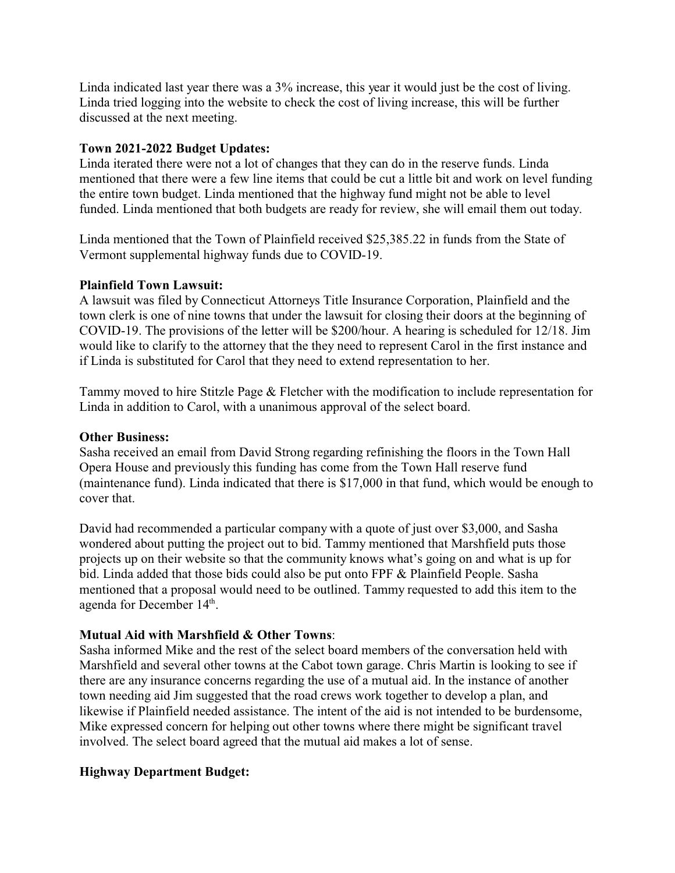Linda indicated last year there was a 3% increase, this year it would just be the cost of living. Linda tried logging into the website to check the cost of living increase, this will be further discussed at the next meeting.

# **Town 2021-2022 Budget Updates:**

Linda iterated there were not a lot of changes that they can do in the reserve funds. Linda mentioned that there were a few line items that could be cut a little bit and work on level funding the entire town budget. Linda mentioned that the highway fund might not be able to level funded. Linda mentioned that both budgets are ready for review, she will email them out today.

Linda mentioned that the Town of Plainfield received \$25,385.22 in funds from the State of Vermont supplemental highway funds due to COVID-19.

# **Plainfield Town Lawsuit:**

A lawsuit was filed by Connecticut Attorneys Title Insurance Corporation, Plainfield and the town clerk is one of nine towns that under the lawsuit for closing their doors at the beginning of COVID-19. The provisions of the letter will be \$200/hour. A hearing is scheduled for 12/18. Jim would like to clarify to the attorney that the they need to represent Carol in the first instance and if Linda is substituted for Carol that they need to extend representation to her.

Tammy moved to hire Stitzle Page & Fletcher with the modification to include representation for Linda in addition to Carol, with a unanimous approval of the select board.

#### **Other Business:**

Sasha received an email from David Strong regarding refinishing the floors in the Town Hall Opera House and previously this funding has come from the Town Hall reserve fund (maintenance fund). Linda indicated that there is \$17,000 in that fund, which would be enough to cover that.

David had recommended a particular company with a quote of just over \$3,000, and Sasha wondered about putting the project out to bid. Tammy mentioned that Marshfield puts those projects up on their website so that the community knows what's going on and what is up for bid. Linda added that those bids could also be put onto FPF & Plainfield People. Sasha mentioned that a proposal would need to be outlined. Tammy requested to add this item to the agenda for December 14<sup>th</sup>.

## **Mutual Aid with Marshfield & Other Towns**:

Sasha informed Mike and the rest of the select board members of the conversation held with Marshfield and several other towns at the Cabot town garage. Chris Martin is looking to see if there are any insurance concerns regarding the use of a mutual aid. In the instance of another town needing aid Jim suggested that the road crews work together to develop a plan, and likewise if Plainfield needed assistance. The intent of the aid is not intended to be burdensome, Mike expressed concern for helping out other towns where there might be significant travel involved. The select board agreed that the mutual aid makes a lot of sense.

## **Highway Department Budget:**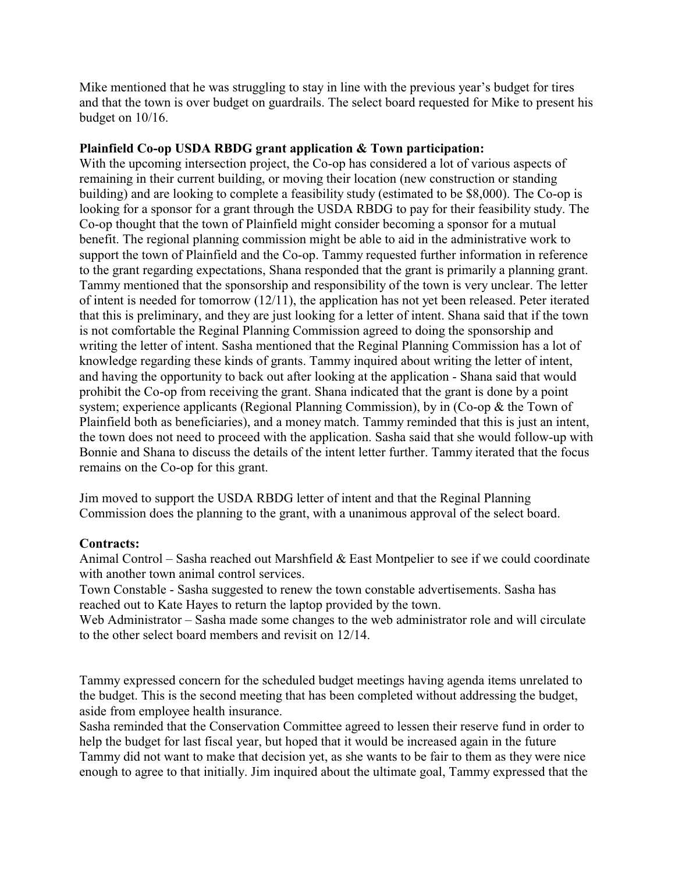Mike mentioned that he was struggling to stay in line with the previous year's budget for tires and that the town is over budget on guardrails. The select board requested for Mike to present his budget on 10/16.

# **Plainfield Co-op USDA RBDG grant application & Town participation:**

With the upcoming intersection project, the Co-op has considered a lot of various aspects of remaining in their current building, or moving their location (new construction or standing building) and are looking to complete a feasibility study (estimated to be \$8,000). The Co-op is looking for a sponsor for a grant through the USDA RBDG to pay for their feasibility study. The Co-op thought that the town of Plainfield might consider becoming a sponsor for a mutual benefit. The regional planning commission might be able to aid in the administrative work to support the town of Plainfield and the Co-op. Tammy requested further information in reference to the grant regarding expectations, Shana responded that the grant is primarily a planning grant. Tammy mentioned that the sponsorship and responsibility of the town is very unclear. The letter of intent is needed for tomorrow  $(12/11)$ , the application has not yet been released. Peter iterated that this is preliminary, and they are just looking for a letter of intent. Shana said that if the town is not comfortable the Reginal Planning Commission agreed to doing the sponsorship and writing the letter of intent. Sasha mentioned that the Reginal Planning Commission has a lot of knowledge regarding these kinds of grants. Tammy inquired about writing the letter of intent, and having the opportunity to back out after looking at the application - Shana said that would prohibit the Co-op from receiving the grant. Shana indicated that the grant is done by a point system; experience applicants (Regional Planning Commission), by in (Co-op & the Town of Plainfield both as beneficiaries), and a money match. Tammy reminded that this is just an intent, the town does not need to proceed with the application. Sasha said that she would follow-up with Bonnie and Shana to discuss the details of the intent letter further. Tammy iterated that the focus remains on the Co-op for this grant.

Jim moved to support the USDA RBDG letter of intent and that the Reginal Planning Commission does the planning to the grant, with a unanimous approval of the select board.

## **Contracts:**

Animal Control – Sasha reached out Marshfield & East Montpelier to see if we could coordinate with another town animal control services.

Town Constable - Sasha suggested to renew the town constable advertisements. Sasha has reached out to Kate Hayes to return the laptop provided by the town.

Web Administrator – Sasha made some changes to the web administrator role and will circulate to the other select board members and revisit on 12/14.

Tammy expressed concern for the scheduled budget meetings having agenda items unrelated to the budget. This is the second meeting that has been completed without addressing the budget, aside from employee health insurance.

Sasha reminded that the Conservation Committee agreed to lessen their reserve fund in order to help the budget for last fiscal year, but hoped that it would be increased again in the future Tammy did not want to make that decision yet, as she wants to be fair to them as they were nice enough to agree to that initially. Jim inquired about the ultimate goal, Tammy expressed that the